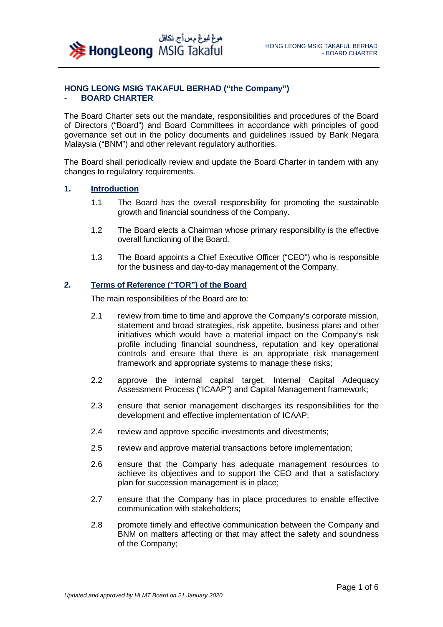

#### **HONG LEONG MSIG TAKAFUL BERHAD ("the Company")**  - **BOARD CHARTER**

The Board Charter sets out the mandate, responsibilities and procedures of the Board of Directors ("Board") and Board Committees in accordance with principles of good governance set out in the policy documents and guidelines issued by Bank Negara Malaysia ("BNM") and other relevant regulatory authorities.

The Board shall periodically review and update the Board Charter in tandem with any changes to regulatory requirements.

#### **1. Introduction**

- 1.1 The Board has the overall responsibility for promoting the sustainable growth and financial soundness of the Company.
- 1.2 The Board elects a Chairman whose primary responsibility is the effective overall functioning of the Board.
- 1.3 The Board appoints a Chief Executive Officer ("CEO") who is responsible for the business and day-to-day management of the Company.

# **2. Terms of Reference ("TOR") of the Board**

The main responsibilities of the Board are to:

- 2.1 review from time to time and approve the Company's corporate mission, statement and broad strategies, risk appetite, business plans and other initiatives which would have a material impact on the Company's risk profile including financial soundness, reputation and key operational controls and ensure that there is an appropriate risk management framework and appropriate systems to manage these risks;
- 2.2 approve the internal capital target, Internal Capital Adequacy Assessment Process ("ICAAP") and Capital Management framework;
- 2.3 ensure that senior management discharges its responsibilities for the development and effective implementation of ICAAP;
- 2.4 review and approve specific investments and divestments;
- 2.5 review and approve material transactions before implementation;
- 2.6 ensure that the Company has adequate management resources to achieve its objectives and to support the CEO and that a satisfactory plan for succession management is in place;
- 2.7 ensure that the Company has in place procedures to enable effective communication with stakeholders;
- 2.8 promote timely and effective communication between the Company and BNM on matters affecting or that may affect the safety and soundness of the Company;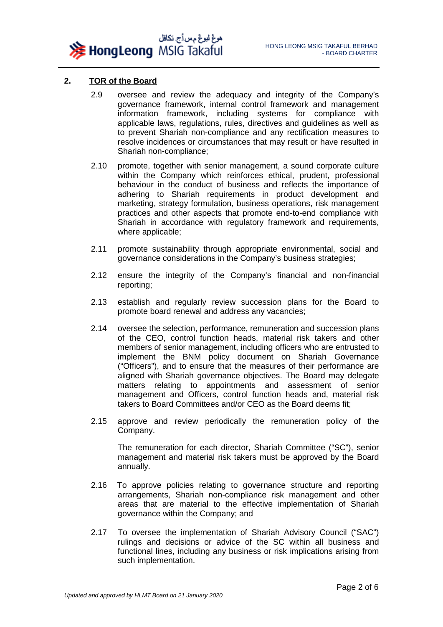

# **2. TOR of the Board**

- 2.9 oversee and review the adequacy and integrity of the Company's governance framework, internal control framework and management information framework, including systems for compliance with applicable laws, regulations, rules, directives and guidelines as well as to prevent Shariah non-compliance and any rectification measures to resolve incidences or circumstances that may result or have resulted in Shariah non-compliance;
- 2.10 promote, together with senior management, a sound corporate culture within the Company which reinforces ethical, prudent, professional behaviour in the conduct of business and reflects the importance of adhering to Shariah requirements in product development and marketing, strategy formulation, business operations, risk management practices and other aspects that promote end-to-end compliance with Shariah in accordance with regulatory framework and requirements, where applicable;
- 2.11 promote sustainability through appropriate environmental, social and governance considerations in the Company's business strategies;
- 2.12 ensure the integrity of the Company's financial and non-financial reporting;
- 2.13 establish and regularly review succession plans for the Board to promote board renewal and address any vacancies;
- 2.14 oversee the selection, performance, remuneration and succession plans of the CEO, control function heads, material risk takers and other members of senior management, including officers who are entrusted to implement the BNM policy document on Shariah Governance ("Officers"), and to ensure that the measures of their performance are aligned with Shariah governance objectives. The Board may delegate matters relating to appointments and assessment of senior management and Officers, control function heads and, material risk takers to Board Committees and/or CEO as the Board deems fit;
- 2.15 approve and review periodically the remuneration policy of the Company.

The remuneration for each director, Shariah Committee ("SC"), senior management and material risk takers must be approved by the Board annually.

- 2.16 To approve policies relating to governance structure and reporting arrangements, Shariah non-compliance risk management and other areas that are material to the effective implementation of Shariah governance within the Company; and
- 2.17 To oversee the implementation of Shariah Advisory Council ("SAC") rulings and decisions or advice of the SC within all business and functional lines, including any business or risk implications arising from such implementation.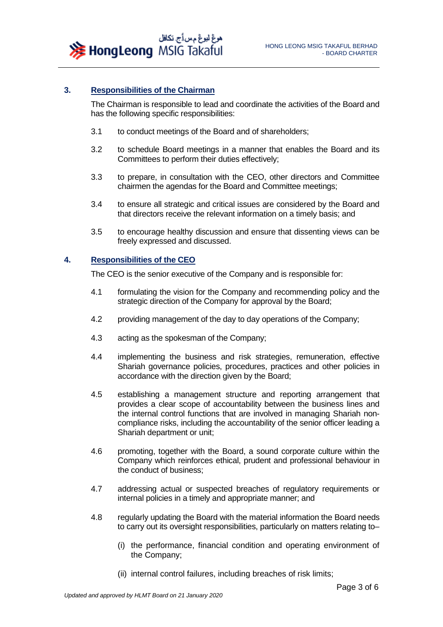هوغ ليوغ مس أج. تكافل **X** Hong Leong MSIG Takaful

#### **3. Responsibilities of the Chairman**

The Chairman is responsible to lead and coordinate the activities of the Board and has the following specific responsibilities:

- 3.1 to conduct meetings of the Board and of shareholders;
- 3.2 to schedule Board meetings in a manner that enables the Board and its Committees to perform their duties effectively;
- 3.3 to prepare, in consultation with the CEO, other directors and Committee chairmen the agendas for the Board and Committee meetings;
- 3.4 to ensure all strategic and critical issues are considered by the Board and that directors receive the relevant information on a timely basis; and
- 3.5 to encourage healthy discussion and ensure that dissenting views can be freely expressed and discussed.

#### **4. Responsibilities of the CEO**

The CEO is the senior executive of the Company and is responsible for:

- 4.1 formulating the vision for the Company and recommending policy and the strategic direction of the Company for approval by the Board;
- 4.2 providing management of the day to day operations of the Company;
- 4.3 acting as the spokesman of the Company;
- 4.4 implementing the business and risk strategies, remuneration, effective Shariah governance policies, procedures, practices and other policies in accordance with the direction given by the Board;
- 4.5 establishing a management structure and reporting arrangement that provides a clear scope of accountability between the business lines and the internal control functions that are involved in managing Shariah noncompliance risks, including the accountability of the senior officer leading a Shariah department or unit;
- 4.6 promoting, together with the Board, a sound corporate culture within the Company which reinforces ethical, prudent and professional behaviour in the conduct of business;
- 4.7 addressing actual or suspected breaches of regulatory requirements or internal policies in a timely and appropriate manner; and
- 4.8 regularly updating the Board with the material information the Board needs to carry out its oversight responsibilities, particularly on matters relating to–
	- (i) the performance, financial condition and operating environment of the Company;
	- (ii) internal control failures, including breaches of risk limits;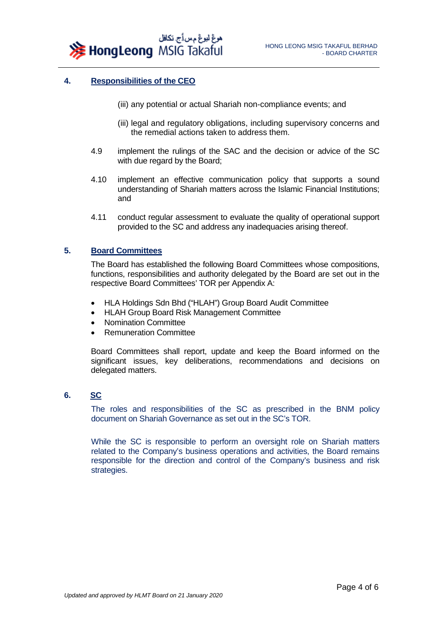

### **4. Responsibilities of the CEO**

- (iii) any potential or actual Shariah non-compliance events; and
- (iii) legal and regulatory obligations, including supervisory concerns and the remedial actions taken to address them.
- 4.9 implement the rulings of the SAC and the decision or advice of the SC with due regard by the Board;
- 4.10 implement an effective communication policy that supports a sound understanding of Shariah matters across the Islamic Financial Institutions; and
- 4.11 conduct regular assessment to evaluate the quality of operational support provided to the SC and address any inadequacies arising thereof.

### **5. Board Committees**

The Board has established the following Board Committees whose compositions, functions, responsibilities and authority delegated by the Board are set out in the respective Board Committees' TOR per Appendix A:

- HLA Holdings Sdn Bhd ("HLAH") Group Board Audit Committee
- HLAH Group Board Risk Management Committee
- Nomination Committee
- Remuneration Committee

Board Committees shall report, update and keep the Board informed on the significant issues, key deliberations, recommendations and decisions on delegated matters.

### **6. SC**

The roles and responsibilities of the SC as prescribed in the BNM policy document on Shariah Governance as set out in the SC's TOR.

While the SC is responsible to perform an oversight role on Shariah matters related to the Company's business operations and activities, the Board remains responsible for the direction and control of the Company's business and risk strategies.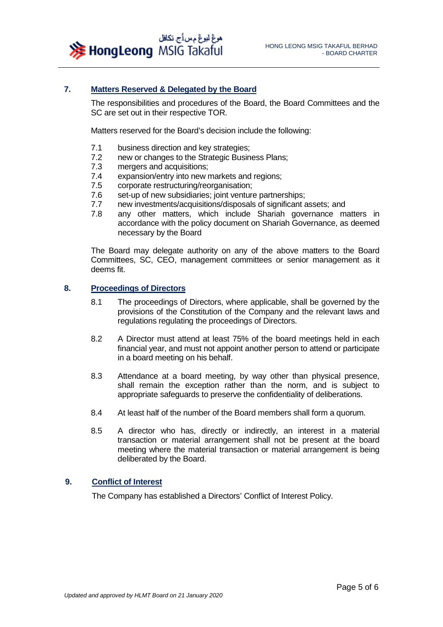

# **7. Matters Reserved & Delegated by the Board**

The responsibilities and procedures of the Board, the Board Committees and the SC are set out in their respective TOR.

Matters reserved for the Board's decision include the following:

- 7.1 business direction and key strategies;
- 7.2 new or changes to the Strategic Business Plans;<br>7.3 mergers and acquisitions:
- mergers and acquisitions;
- 7.4 expansion/entry into new markets and regions;<br>7.5 corporate restructuring/reorganisation:
- corporate restructuring/reorganisation:
- 7.6 set-up of new subsidiaries; joint venture partnerships;<br>7.7 new investments/acquisitions/disposals of significant a
- 7.7 new investments/acquisitions/disposals of significant assets; and
- 7.8 any other matters, which include Shariah governance matters in accordance with the policy document on Shariah Governance, as deemed necessary by the Board

The Board may delegate authority on any of the above matters to the Board Committees, SC, CEO, management committees or senior management as it deems fit.

#### **8. Proceedings of Directors**

- 8.1 The proceedings of Directors, where applicable, shall be governed by the provisions of the Constitution of the Company and the relevant laws and regulations regulating the proceedings of Directors.
- 8.2 A Director must attend at least 75% of the board meetings held in each financial year, and must not appoint another person to attend or participate in a board meeting on his behalf.
- 8.3 Attendance at a board meeting, by way other than physical presence, shall remain the exception rather than the norm, and is subject to appropriate safeguards to preserve the confidentiality of deliberations.
- 8.4 At least half of the number of the Board members shall form a quorum.
- 8.5 A director who has, directly or indirectly, an interest in a material transaction or material arrangement shall not be present at the board meeting where the material transaction or material arrangement is being deliberated by the Board.

# **9. Conflict of Interest**

The Company has established a Directors' Conflict of Interest Policy.